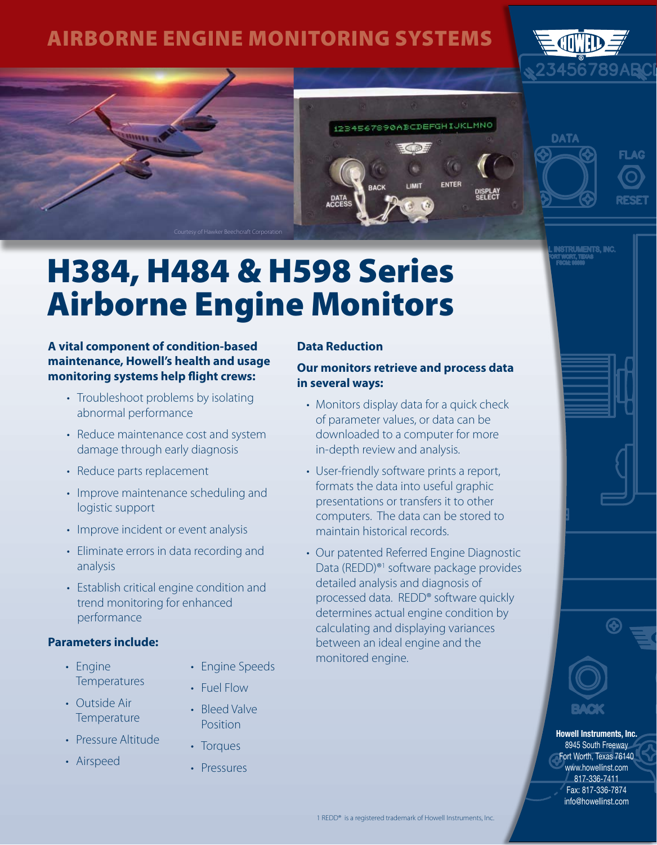# Airborne engine monitoring systems



**INSTRUMENTS, INC.<br>RT WORT, TEXAS<br>FSCM: \$8880** 

**FLAG** 

**DATA** 



# Airborne Engine Monitors H384, H484 & H598 Series

**A vital component of condition-based maintenance, Howell's health and usage monitoring systems help flight crews:**

- Troubleshoot problems by isolating abnormal performance
- Reduce maintenance cost and system damage through early diagnosis
- Reduce parts replacement
- Improve maintenance scheduling and logistic support
- Improve incident or event analysis
- Eliminate errors in data recording and analysis
- Establish critical engine condition and trend monitoring for enhanced performance

#### **Parameters include:**

- Engine Temperatures
- Engine Speeds
- • Fuel Flow • Bleed Valve
- Outside Air **Temperature**
- Pressure Altitude
- Airspeed
- Position
- Torques
- • Pressures

### **Data Reduction**

#### **Our monitors retrieve and process data in several ways:**

1234567890ABCDEFGHIJKLMNO

ENTER

- Monitors display data for a quick check of parameter values, or data can be downloaded to a computer for more in-depth review and analysis.
- User-friendly software prints a report, formats the data into useful graphic presentations or transfers it to other computers. The data can be stored to maintain historical records.
- Our patented Referred Engine Diagnostic Data (REDD)®<sup>1</sup> software package provides detailed analysis and diagnosis of processed data. REDD® software quickly determines actual engine condition by calculating and displaying variances between an ideal engine and the monitored engine.



8945 South Freeway Fort Worth, Texas 76140 www.howellinst.com 817-336-7411 Fax: 817-336-7874 info@howellinst.com